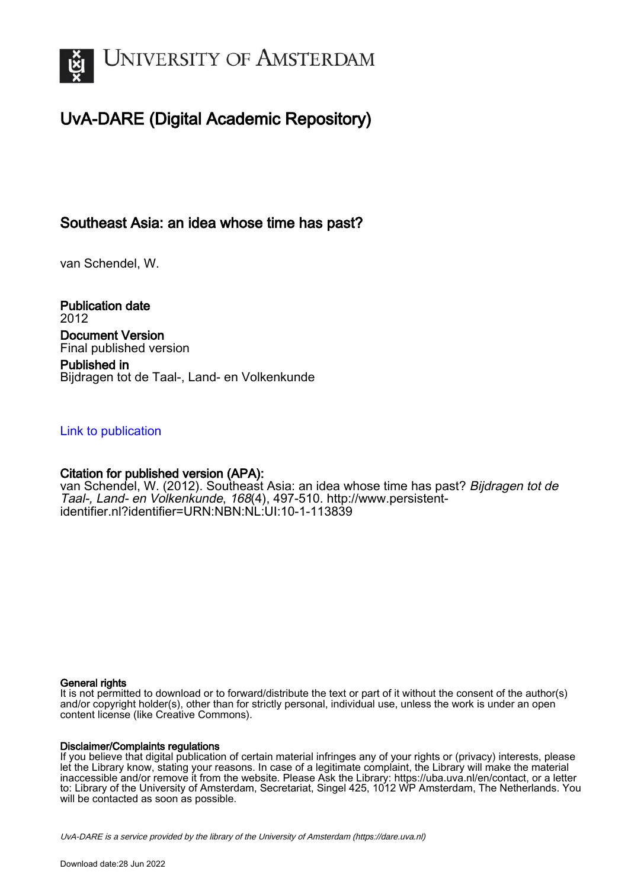

# UvA-DARE (Digital Academic Repository)

# Southeast Asia: an idea whose time has past?

van Schendel, W.

Publication date 2012 Document Version Final published version

Published in Bijdragen tot de Taal-, Land- en Volkenkunde

# [Link to publication](https://dare.uva.nl/personal/pure/en/publications/southeast-asia-an-idea-whose-time-has-past(35dffeec-df6d-4230-b03a-0bce75d790fe).html)

# Citation for published version (APA):

van Schendel, W. (2012). Southeast Asia: an idea whose time has past? Bijdragen tot de Taal-, Land- en Volkenkunde, 168(4), 497-510. [http://www.persistent](http://www.persistent-identifier.nl?identifier=URN:NBN:NL:UI:10-1-113839)[identifier.nl?identifier=URN:NBN:NL:UI:10-1-113839](http://www.persistent-identifier.nl?identifier=URN:NBN:NL:UI:10-1-113839)

# General rights

It is not permitted to download or to forward/distribute the text or part of it without the consent of the author(s) and/or copyright holder(s), other than for strictly personal, individual use, unless the work is under an open content license (like Creative Commons).

# Disclaimer/Complaints regulations

If you believe that digital publication of certain material infringes any of your rights or (privacy) interests, please let the Library know, stating your reasons. In case of a legitimate complaint, the Library will make the material inaccessible and/or remove it from the website. Please Ask the Library: https://uba.uva.nl/en/contact, or a letter to: Library of the University of Amsterdam, Secretariat, Singel 425, 1012 WP Amsterdam, The Netherlands. You will be contacted as soon as possible.

UvA-DARE is a service provided by the library of the University of Amsterdam (http*s*://dare.uva.nl)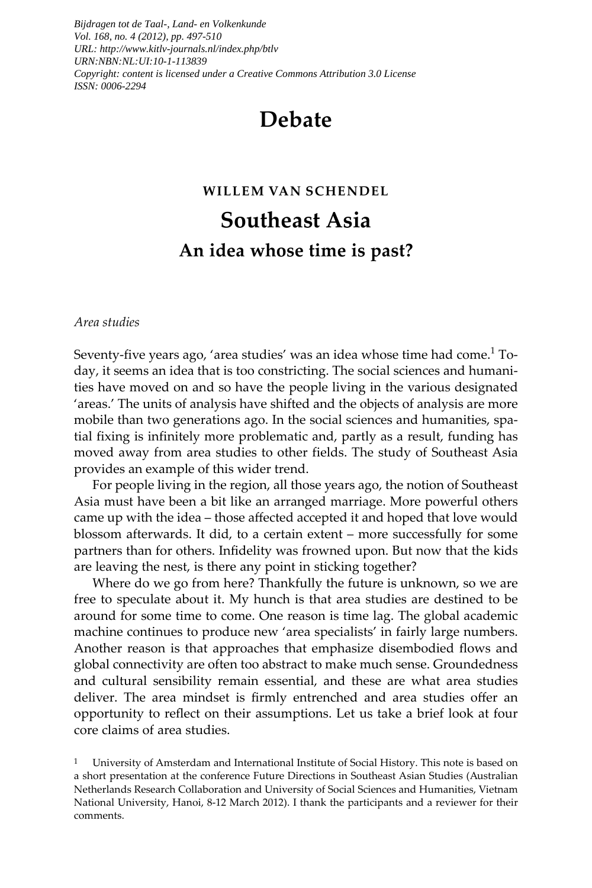*Bijdragen tot de Taal-, Land- en Volkenkunde Vol. 168, no. 4 (2012), pp. 497-510 URL: http://www.kitlv-journals.nl/index.php/btlv URN:NBN:NL:UI:10-1-113839 Copyright: content is licensed under a Creative Commons Attribution 3.0 License ISSN: 0006-2294*

# **Debate**

# **WILLEM VAN SCHENDEL**

# **Southeast Asia An idea whose time is past?**

#### *Area studies*

Seventy-five years ago, 'area studies' was an idea whose time had come. $^{\rm 1}$  Today, it seems an idea that is too constricting. The social sciences and humanities have moved on and so have the people living in the various designated 'areas.' The units of analysis have shifted and the objects of analysis are more mobile than two generations ago. In the social sciences and humanities, spatial fixing is infinitely more problematic and, partly as a result, funding has moved away from area studies to other fields. The study of Southeast Asia provides an example of this wider trend.

For people living in the region, all those years ago, the notion of Southeast Asia must have been a bit like an arranged marriage. More powerful others came up with the idea – those affected accepted it and hoped that love would blossom afterwards. It did, to a certain extent – more successfully for some partners than for others. Infidelity was frowned upon. But now that the kids are leaving the nest, is there any point in sticking together?

Where do we go from here? Thankfully the future is unknown, so we are free to speculate about it. My hunch is that area studies are destined to be around for some time to come. One reason is time lag. The global academic machine continues to produce new 'area specialists' in fairly large numbers. Another reason is that approaches that emphasize disembodied flows and global connectivity are often too abstract to make much sense. Groundedness and cultural sensibility remain essential, and these are what area studies deliver. The area mindset is firmly entrenched and area studies offer an opportunity to reflect on their assumptions. Let us take a brief look at four core claims of area studies.

1 University of Amsterdam and International Institute of Social History. This note is based on a short presentation at the conference Future Directions in Southeast Asian Studies (Australian Netherlands Research Collaboration and University of Social Sciences and Humanities, Vietnam National University, Hanoi, 8-12 March 2012). I thank the participants and a reviewer for their comments.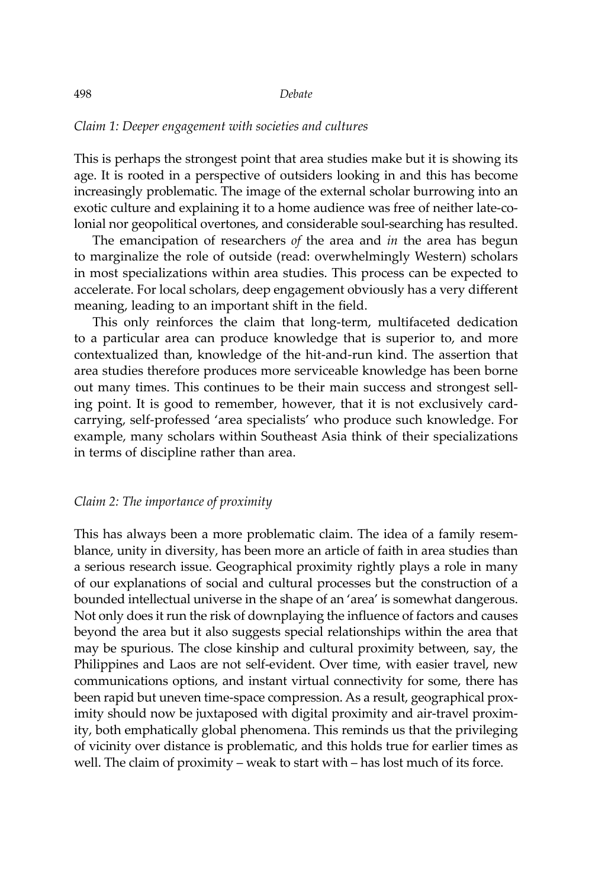### *Claim 1: Deeper engagement with societies and cultures*

This is perhaps the strongest point that area studies make but it is showing its age. It is rooted in a perspective of outsiders looking in and this has become increasingly problematic. The image of the external scholar burrowing into an exotic culture and explaining it to a home audience was free of neither late-colonial nor geopolitical overtones, and considerable soul-searching has resulted.

The emancipation of researchers *of* the area and *in* the area has begun to marginalize the role of outside (read: overwhelmingly Western) scholars in most specializations within area studies. This process can be expected to accelerate. For local scholars, deep engagement obviously has a very different meaning, leading to an important shift in the field.

This only reinforces the claim that long-term, multifaceted dedication to a particular area can produce knowledge that is superior to, and more contextualized than, knowledge of the hit-and-run kind. The assertion that area studies therefore produces more serviceable knowledge has been borne out many times. This continues to be their main success and strongest selling point. It is good to remember, however, that it is not exclusively cardcarrying, self-professed 'area specialists' who produce such knowledge. For example, many scholars within Southeast Asia think of their specializations in terms of discipline rather than area.

# *Claim 2: The importance of proximity*

This has always been a more problematic claim. The idea of a family resemblance, unity in diversity, has been more an article of faith in area studies than a serious research issue. Geographical proximity rightly plays a role in many of our explanations of social and cultural processes but the construction of a bounded intellectual universe in the shape of an 'area' is somewhat dangerous. Not only does it run the risk of downplaying the influence of factors and causes beyond the area but it also suggests special relationships within the area that may be spurious. The close kinship and cultural proximity between, say, the Philippines and Laos are not self-evident. Over time, with easier travel, new communications options, and instant virtual connectivity for some, there has been rapid but uneven time-space compression. As a result, geographical proximity should now be juxtaposed with digital proximity and air-travel proximity, both emphatically global phenomena. This reminds us that the privileging of vicinity over distance is problematic, and this holds true for earlier times as well. The claim of proximity – weak to start with – has lost much of its force.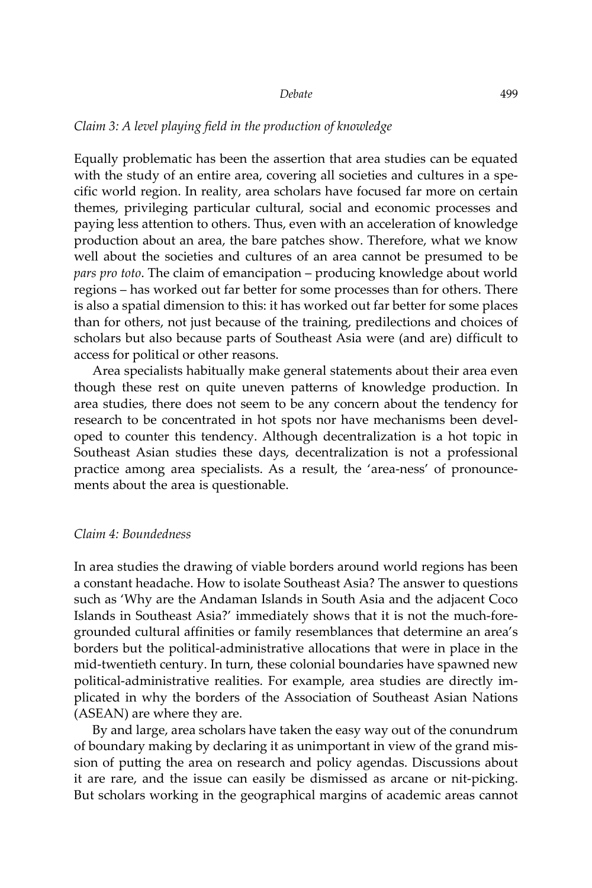#### *Claim 3: A level playing field in the production of knowledge*

Equally problematic has been the assertion that area studies can be equated with the study of an entire area, covering all societies and cultures in a specific world region. In reality, area scholars have focused far more on certain themes, privileging particular cultural, social and economic processes and paying less attention to others. Thus, even with an acceleration of knowledge production about an area, the bare patches show. Therefore, what we know well about the societies and cultures of an area cannot be presumed to be *pars pro toto*. The claim of emancipation – producing knowledge about world regions – has worked out far better for some processes than for others. There is also a spatial dimension to this: it has worked out far better for some places than for others, not just because of the training, predilections and choices of scholars but also because parts of Southeast Asia were (and are) difficult to access for political or other reasons.

Area specialists habitually make general statements about their area even though these rest on quite uneven patterns of knowledge production. In area studies, there does not seem to be any concern about the tendency for research to be concentrated in hot spots nor have mechanisms been developed to counter this tendency. Although decentralization is a hot topic in Southeast Asian studies these days, decentralization is not a professional practice among area specialists. As a result, the 'area-ness' of pronouncements about the area is questionable.

#### *Claim 4: Boundedness*

In area studies the drawing of viable borders around world regions has been a constant headache. How to isolate Southeast Asia? The answer to questions such as 'Why are the Andaman Islands in South Asia and the adjacent Coco Islands in Southeast Asia?' immediately shows that it is not the much-foregrounded cultural affinities or family resemblances that determine an area's borders but the political-administrative allocations that were in place in the mid-twentieth century. In turn, these colonial boundaries have spawned new political-administrative realities. For example, area studies are directly implicated in why the borders of the Association of Southeast Asian Nations (ASEAN) are where they are.

By and large, area scholars have taken the easy way out of the conundrum of boundary making by declaring it as unimportant in view of the grand mission of putting the area on research and policy agendas. Discussions about it are rare, and the issue can easily be dismissed as arcane or nit-picking. But scholars working in the geographical margins of academic areas cannot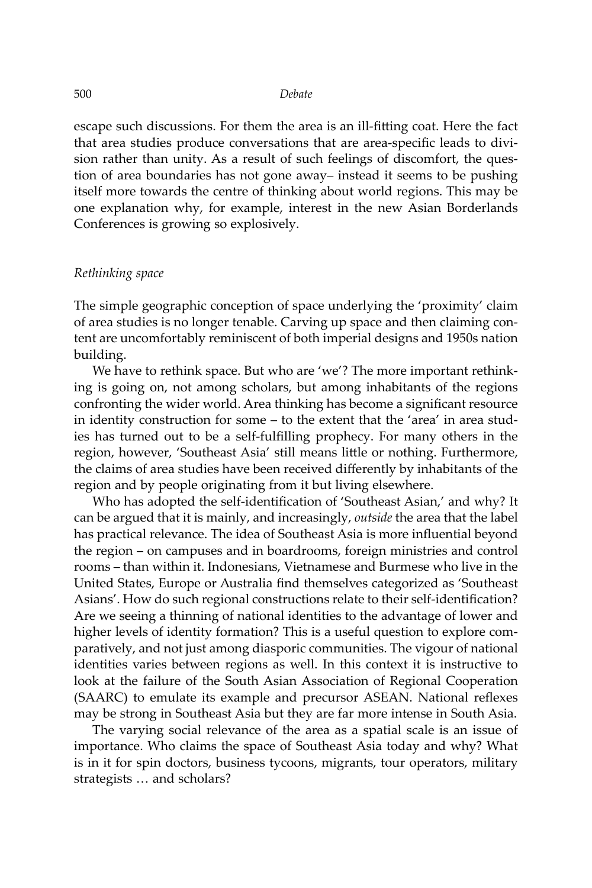escape such discussions. For them the area is an ill-fitting coat. Here the fact that area studies produce conversations that are area-specific leads to division rather than unity. As a result of such feelings of discomfort, the question of area boundaries has not gone away– instead it seems to be pushing itself more towards the centre of thinking about world regions. This may be one explanation why, for example, interest in the new Asian Borderlands Conferences is growing so explosively.

#### *Rethinking space*

The simple geographic conception of space underlying the 'proximity' claim of area studies is no longer tenable. Carving up space and then claiming content are uncomfortably reminiscent of both imperial designs and 1950s nation building.

We have to rethink space. But who are 'we'? The more important rethinking is going on, not among scholars, but among inhabitants of the regions confronting the wider world. Area thinking has become a significant resource in identity construction for some – to the extent that the 'area' in area studies has turned out to be a self-fulfilling prophecy. For many others in the region, however, 'Southeast Asia' still means little or nothing. Furthermore, the claims of area studies have been received differently by inhabitants of the region and by people originating from it but living elsewhere.

Who has adopted the self-identification of 'Southeast Asian,' and why? It can be argued that it is mainly, and increasingly, *outside* the area that the label has practical relevance. The idea of Southeast Asia is more influential beyond the region – on campuses and in boardrooms, foreign ministries and control rooms – than within it. Indonesians, Vietnamese and Burmese who live in the United States, Europe or Australia find themselves categorized as 'Southeast Asians'. How do such regional constructions relate to their self-identification? Are we seeing a thinning of national identities to the advantage of lower and higher levels of identity formation? This is a useful question to explore comparatively, and not just among diasporic communities. The vigour of national identities varies between regions as well. In this context it is instructive to look at the failure of the South Asian Association of Regional Cooperation (SAARC) to emulate its example and precursor ASEAN. National reflexes may be strong in Southeast Asia but they are far more intense in South Asia.

The varying social relevance of the area as a spatial scale is an issue of importance. Who claims the space of Southeast Asia today and why? What is in it for spin doctors, business tycoons, migrants, tour operators, military strategists … and scholars?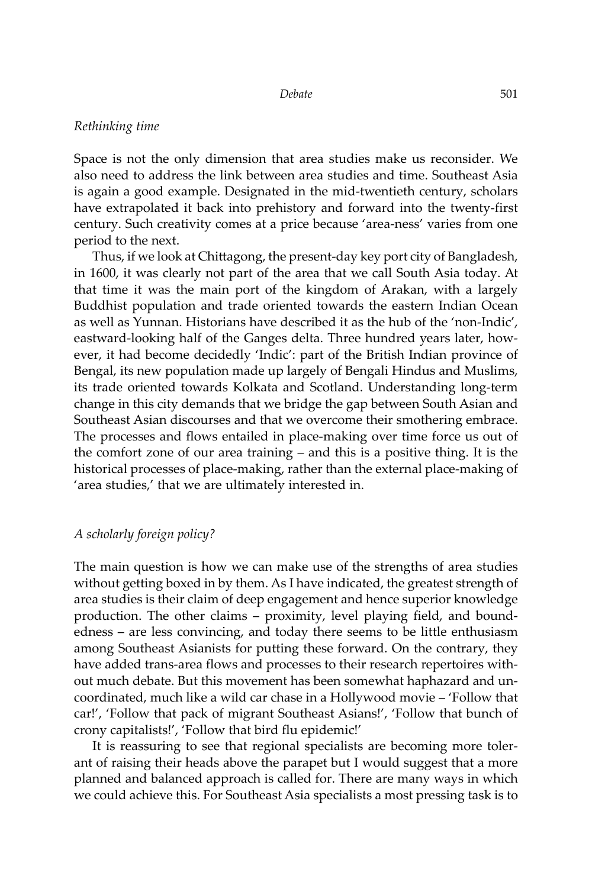#### *Rethinking time*

Space is not the only dimension that area studies make us reconsider. We also need to address the link between area studies and time. Southeast Asia is again a good example. Designated in the mid-twentieth century, scholars have extrapolated it back into prehistory and forward into the twenty-first century. Such creativity comes at a price because 'area-ness' varies from one period to the next.

Thus, if we look at Chittagong, the present-day key port city of Bangladesh, in 1600, it was clearly not part of the area that we call South Asia today. At that time it was the main port of the kingdom of Arakan, with a largely Buddhist population and trade oriented towards the eastern Indian Ocean as well as Yunnan. Historians have described it as the hub of the 'non-Indic', eastward-looking half of the Ganges delta. Three hundred years later, however, it had become decidedly 'Indic': part of the British Indian province of Bengal, its new population made up largely of Bengali Hindus and Muslims, its trade oriented towards Kolkata and Scotland. Understanding long-term change in this city demands that we bridge the gap between South Asian and Southeast Asian discourses and that we overcome their smothering embrace. The processes and flows entailed in place-making over time force us out of the comfort zone of our area training – and this is a positive thing. It is the historical processes of place-making, rather than the external place-making of 'area studies,' that we are ultimately interested in.

#### *A scholarly foreign policy?*

The main question is how we can make use of the strengths of area studies without getting boxed in by them. As I have indicated, the greatest strength of area studies is their claim of deep engagement and hence superior knowledge production. The other claims – proximity, level playing field, and boundedness – are less convincing, and today there seems to be little enthusiasm among Southeast Asianists for putting these forward. On the contrary, they have added trans-area flows and processes to their research repertoires without much debate. But this movement has been somewhat haphazard and uncoordinated, much like a wild car chase in a Hollywood movie – 'Follow that car!', 'Follow that pack of migrant Southeast Asians!', 'Follow that bunch of crony capitalists!', 'Follow that bird flu epidemic!'

It is reassuring to see that regional specialists are becoming more tolerant of raising their heads above the parapet but I would suggest that a more planned and balanced approach is called for. There are many ways in which we could achieve this. For Southeast Asia specialists a most pressing task is to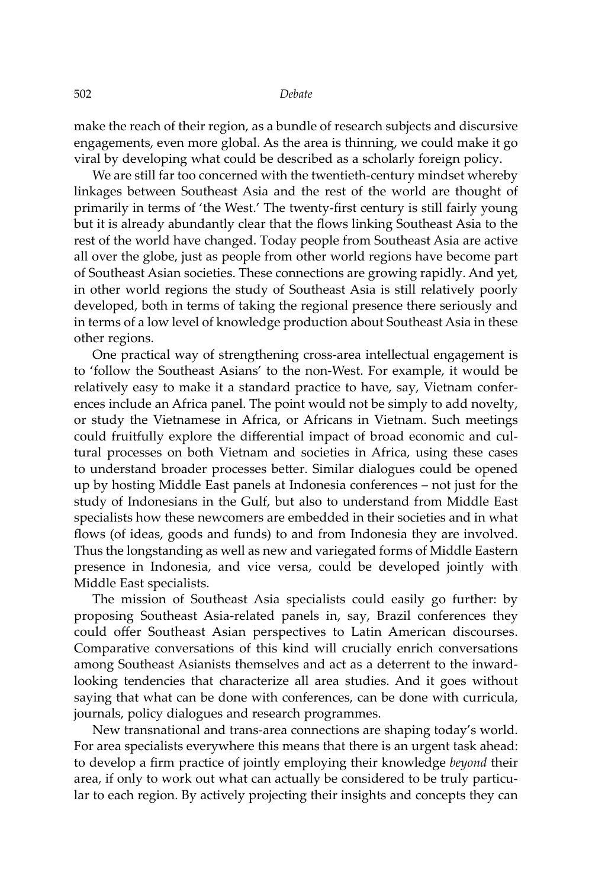make the reach of their region, as a bundle of research subjects and discursive engagements, even more global. As the area is thinning, we could make it go viral by developing what could be described as a scholarly foreign policy.

We are still far too concerned with the twentieth-century mindset whereby linkages between Southeast Asia and the rest of the world are thought of primarily in terms of 'the West.' The twenty-first century is still fairly young but it is already abundantly clear that the flows linking Southeast Asia to the rest of the world have changed. Today people from Southeast Asia are active all over the globe, just as people from other world regions have become part of Southeast Asian societies. These connections are growing rapidly. And yet, in other world regions the study of Southeast Asia is still relatively poorly developed, both in terms of taking the regional presence there seriously and in terms of a low level of knowledge production about Southeast Asia in these other regions.

One practical way of strengthening cross-area intellectual engagement is to 'follow the Southeast Asians' to the non-West. For example, it would be relatively easy to make it a standard practice to have, say, Vietnam conferences include an Africa panel. The point would not be simply to add novelty, or study the Vietnamese in Africa, or Africans in Vietnam. Such meetings could fruitfully explore the differential impact of broad economic and cultural processes on both Vietnam and societies in Africa, using these cases to understand broader processes better. Similar dialogues could be opened up by hosting Middle East panels at Indonesia conferences – not just for the study of Indonesians in the Gulf, but also to understand from Middle East specialists how these newcomers are embedded in their societies and in what flows (of ideas, goods and funds) to and from Indonesia they are involved. Thus the longstanding as well as new and variegated forms of Middle Eastern presence in Indonesia, and vice versa, could be developed jointly with Middle East specialists.

The mission of Southeast Asia specialists could easily go further: by proposing Southeast Asia-related panels in, say, Brazil conferences they could offer Southeast Asian perspectives to Latin American discourses. Comparative conversations of this kind will crucially enrich conversations among Southeast Asianists themselves and act as a deterrent to the inwardlooking tendencies that characterize all area studies. And it goes without saying that what can be done with conferences, can be done with curricula, journals, policy dialogues and research programmes.

New transnational and trans-area connections are shaping today's world. For area specialists everywhere this means that there is an urgent task ahead: to develop a firm practice of jointly employing their knowledge *beyond* their area, if only to work out what can actually be considered to be truly particular to each region. By actively projecting their insights and concepts they can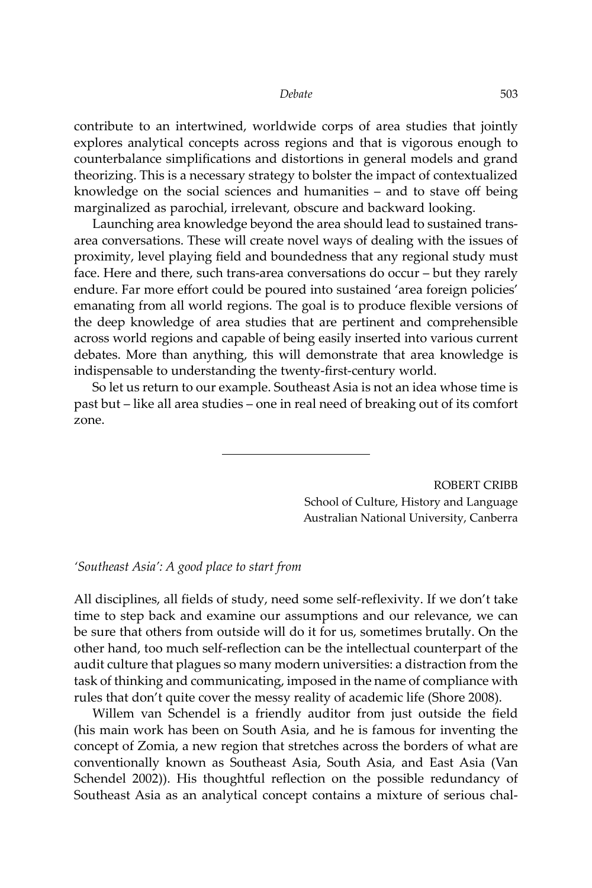contribute to an intertwined, worldwide corps of area studies that jointly explores analytical concepts across regions and that is vigorous enough to counterbalance simplifications and distortions in general models and grand theorizing. This is a necessary strategy to bolster the impact of contextualized knowledge on the social sciences and humanities – and to stave off being marginalized as parochial, irrelevant, obscure and backward looking.

Launching area knowledge beyond the area should lead to sustained transarea conversations. These will create novel ways of dealing with the issues of proximity, level playing field and boundedness that any regional study must face. Here and there, such trans-area conversations do occur – but they rarely endure. Far more effort could be poured into sustained 'area foreign policies' emanating from all world regions. The goal is to produce flexible versions of the deep knowledge of area studies that are pertinent and comprehensible across world regions and capable of being easily inserted into various current debates. More than anything, this will demonstrate that area knowledge is indispensable to understanding the twenty-first-century world.

So let us return to our example. Southeast Asia is not an idea whose time is past but – like all area studies – one in real need of breaking out of its comfort zone.

> ROBERT CRIBB School of Culture, History and Language Australian National University, Canberra

#### *'Southeast Asia': A good place to start from*

All disciplines, all fields of study, need some self-reflexivity. If we don't take time to step back and examine our assumptions and our relevance, we can be sure that others from outside will do it for us, sometimes brutally. On the other hand, too much self-reflection can be the intellectual counterpart of the audit culture that plagues so many modern universities: a distraction from the task of thinking and communicating, imposed in the name of compliance with rules that don't quite cover the messy reality of academic life (Shore 2008).

Willem van Schendel is a friendly auditor from just outside the field (his main work has been on South Asia, and he is famous for inventing the concept of Zomia, a new region that stretches across the borders of what are conventionally known as Southeast Asia, South Asia, and East Asia (Van Schendel 2002)). His thoughtful reflection on the possible redundancy of Southeast Asia as an analytical concept contains a mixture of serious chal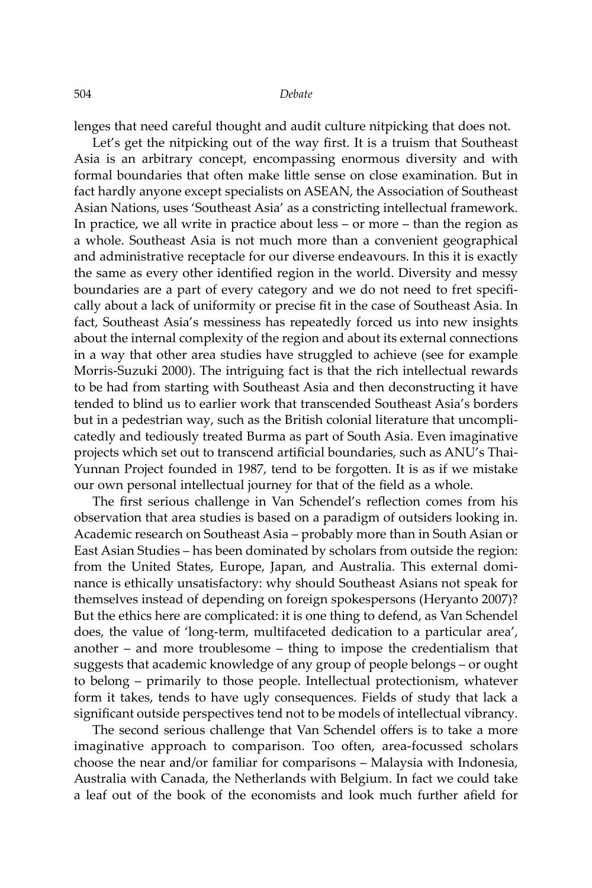lenges that need careful thought and audit culture nitpicking that does not.

Let's get the nitpicking out of the way first. It is a truism that Southeast Asia is an arbitrary concept, encompassing enormous diversity and with formal boundaries that often make little sense on close examination. But in fact hardly anyone except specialists on ASEAN, the Association of Southeast Asian Nations, uses 'Southeast Asia' as a constricting intellectual framework. In practice, we all write in practice about less – or more – than the region as a whole. Southeast Asia is not much more than a convenient geographical and administrative receptacle for our diverse endeavours. In this it is exactly the same as every other identified region in the world. Diversity and messy boundaries are a part of every category and we do not need to fret specifically about a lack of uniformity or precise fit in the case of Southeast Asia. In fact, Southeast Asia's messiness has repeatedly forced us into new insights about the internal complexity of the region and about its external connections in a way that other area studies have struggled to achieve (see for example Morris-Suzuki 2000). The intriguing fact is that the rich intellectual rewards to be had from starting with Southeast Asia and then deconstructing it have tended to blind us to earlier work that transcended Southeast Asia's borders but in a pedestrian way, such as the British colonial literature that uncomplicatedly and tediously treated Burma as part of South Asia. Even imaginative projects which set out to transcend artificial boundaries, such as ANU's Thai-Yunnan Project founded in 1987, tend to be forgotten. It is as if we mistake our own personal intellectual journey for that of the field as a whole.

The first serious challenge in Van Schendel's reflection comes from his observation that area studies is based on a paradigm of outsiders looking in. Academic research on Southeast Asia – probably more than in South Asian or East Asian Studies – has been dominated by scholars from outside the region: from the United States, Europe, Japan, and Australia. This external dominance is ethically unsatisfactory: why should Southeast Asians not speak for themselves instead of depending on foreign spokespersons (Heryanto 2007)? But the ethics here are complicated: it is one thing to defend, as Van Schendel does, the value of 'long-term, multifaceted dedication to a particular area', another – and more troublesome – thing to impose the credentialism that suggests that academic knowledge of any group of people belongs – or ought to belong – primarily to those people. Intellectual protectionism, whatever form it takes, tends to have ugly consequences. Fields of study that lack a significant outside perspectives tend not to be models of intellectual vibrancy.

The second serious challenge that Van Schendel offers is to take a more imaginative approach to comparison. Too often, area-focussed scholars choose the near and/or familiar for comparisons – Malaysia with Indonesia, Australia with Canada, the Netherlands with Belgium. In fact we could take a leaf out of the book of the economists and look much further afield for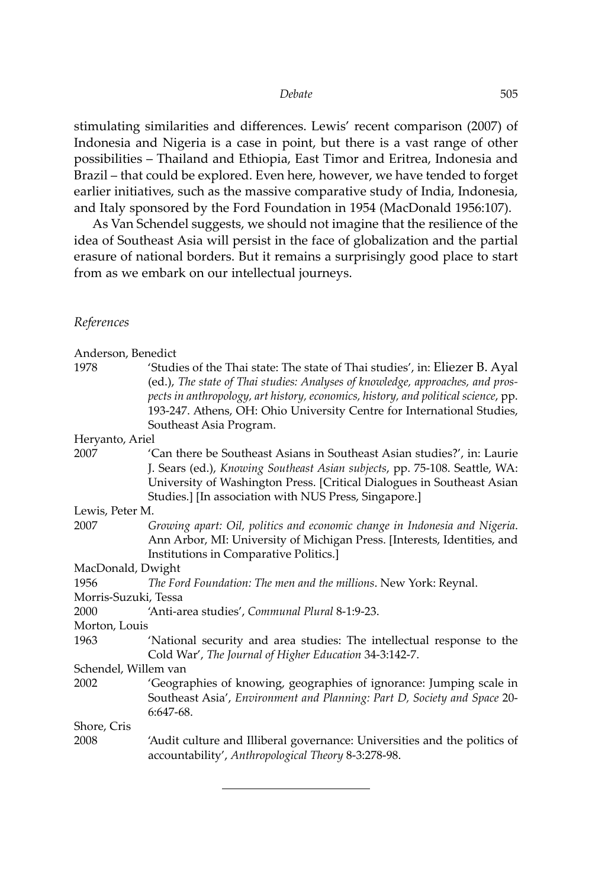stimulating similarities and differences. Lewis' recent comparison (2007) of Indonesia and Nigeria is a case in point, but there is a vast range of other possibilities – Thailand and Ethiopia, East Timor and Eritrea, Indonesia and Brazil – that could be explored. Even here, however, we have tended to forget earlier initiatives, such as the massive comparative study of India, Indonesia, and Italy sponsored by the Ford Foundation in 1954 (MacDonald 1956:107).

As Van Schendel suggests, we should not imagine that the resilience of the idea of Southeast Asia will persist in the face of globalization and the partial erasure of national borders. But it remains a surprisingly good place to start from as we embark on our intellectual journeys.

### *References*

| Anderson, Benedict   |                                                                                                                                                                                                                                                                                                                                                          |
|----------------------|----------------------------------------------------------------------------------------------------------------------------------------------------------------------------------------------------------------------------------------------------------------------------------------------------------------------------------------------------------|
| 1978                 | 'Studies of the Thai state: The state of Thai studies', in: Eliezer B. Ayal<br>(ed.), The state of Thai studies: Analyses of knowledge, approaches, and pros-<br>pects in anthropology, art history, economics, history, and political science, pp.<br>193-247. Athens, OH: Ohio University Centre for International Studies,<br>Southeast Asia Program. |
| Heryanto, Ariel      |                                                                                                                                                                                                                                                                                                                                                          |
| 2007                 | 'Can there be Southeast Asians in Southeast Asian studies?', in: Laurie<br>J. Sears (ed.), Knowing Southeast Asian subjects, pp. 75-108. Seattle, WA:<br>University of Washington Press. [Critical Dialogues in Southeast Asian<br>Studies.] [In association with NUS Press, Singapore.]                                                                 |
| Lewis, Peter M.      |                                                                                                                                                                                                                                                                                                                                                          |
| 2007                 | Growing apart: Oil, politics and economic change in Indonesia and Nigeria.<br>Ann Arbor, MI: University of Michigan Press. [Interests, Identities, and<br>Institutions in Comparative Politics.]                                                                                                                                                         |
| MacDonald, Dwight    |                                                                                                                                                                                                                                                                                                                                                          |
| 1956                 | The Ford Foundation: The men and the millions. New York: Reynal.                                                                                                                                                                                                                                                                                         |
| Morris-Suzuki, Tessa |                                                                                                                                                                                                                                                                                                                                                          |
| 2000                 | 'Anti-area studies', Communal Plural 8-1:9-23.                                                                                                                                                                                                                                                                                                           |
| Morton, Louis        |                                                                                                                                                                                                                                                                                                                                                          |
| 1963                 | 'National security and area studies: The intellectual response to the<br>Cold War', The Journal of Higher Education 34-3:142-7.                                                                                                                                                                                                                          |
| Schendel, Willem van |                                                                                                                                                                                                                                                                                                                                                          |
| 2002                 | 'Geographies of knowing, geographies of ignorance: Jumping scale in<br>Southeast Asia', Environment and Planning: Part D, Society and Space 20-<br>6:647-68.                                                                                                                                                                                             |
| Shore, Cris          |                                                                                                                                                                                                                                                                                                                                                          |
| 2008                 | 'Audit culture and Illiberal governance: Universities and the politics of<br>accountability', Anthropological Theory 8-3:278-98.                                                                                                                                                                                                                         |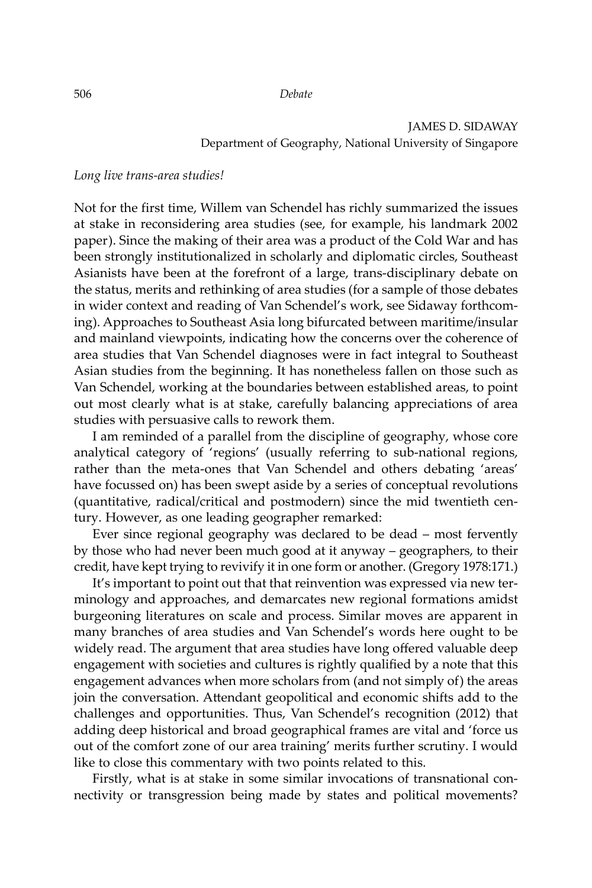### JAMES D. SIDAWAY Department of Geography, National University of Singapore

#### *Long live trans-area studies!*

Not for the first time, Willem van Schendel has richly summarized the issues at stake in reconsidering area studies (see, for example, his landmark 2002 paper). Since the making of their area was a product of the Cold War and has been strongly institutionalized in scholarly and diplomatic circles, Southeast Asianists have been at the forefront of a large, trans-disciplinary debate on the status, merits and rethinking of area studies (for a sample of those debates in wider context and reading of Van Schendel's work, see Sidaway forthcoming). Approaches to Southeast Asia long bifurcated between maritime/insular and mainland viewpoints, indicating how the concerns over the coherence of area studies that Van Schendel diagnoses were in fact integral to Southeast Asian studies from the beginning. It has nonetheless fallen on those such as Van Schendel, working at the boundaries between established areas, to point out most clearly what is at stake, carefully balancing appreciations of area studies with persuasive calls to rework them.

I am reminded of a parallel from the discipline of geography, whose core analytical category of 'regions' (usually referring to sub-national regions, rather than the meta-ones that Van Schendel and others debating 'areas' have focussed on) has been swept aside by a series of conceptual revolutions (quantitative, radical/critical and postmodern) since the mid twentieth century. However, as one leading geographer remarked:

Ever since regional geography was declared to be dead – most fervently by those who had never been much good at it anyway – geographers, to their credit, have kept trying to revivify it in one form or another. (Gregory 1978:171.)

It's important to point out that that reinvention was expressed via new terminology and approaches, and demarcates new regional formations amidst burgeoning literatures on scale and process. Similar moves are apparent in many branches of area studies and Van Schendel's words here ought to be widely read. The argument that area studies have long offered valuable deep engagement with societies and cultures is rightly qualified by a note that this engagement advances when more scholars from (and not simply of) the areas join the conversation. Attendant geopolitical and economic shifts add to the challenges and opportunities. Thus, Van Schendel's recognition (2012) that adding deep historical and broad geographical frames are vital and 'force us out of the comfort zone of our area training' merits further scrutiny. I would like to close this commentary with two points related to this.

Firstly, what is at stake in some similar invocations of transnational connectivity or transgression being made by states and political movements?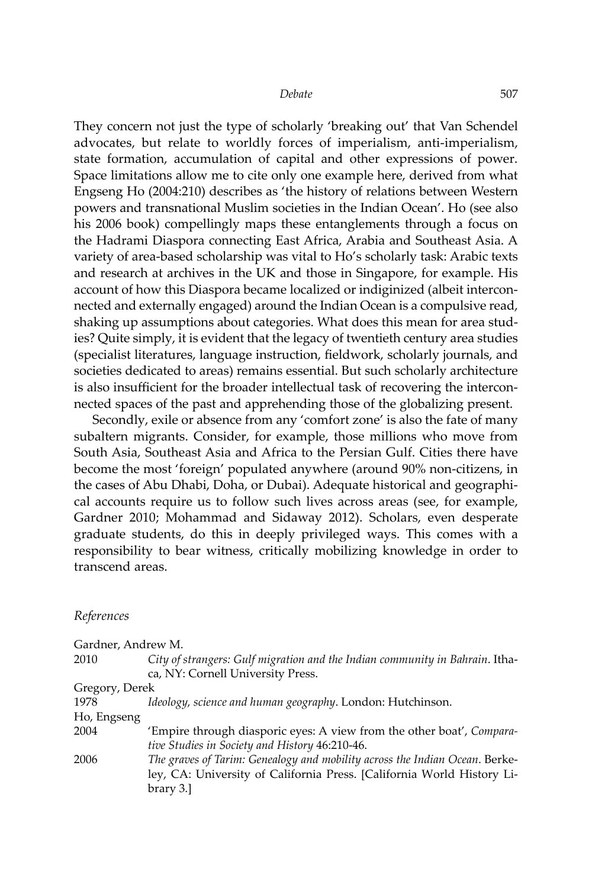They concern not just the type of scholarly 'breaking out' that Van Schendel advocates, but relate to worldly forces of imperialism, anti-imperialism, state formation, accumulation of capital and other expressions of power. Space limitations allow me to cite only one example here, derived from what Engseng Ho (2004:210) describes as 'the history of relations between Western powers and transnational Muslim societies in the Indian Ocean'. Ho (see also his 2006 book) compellingly maps these entanglements through a focus on the Hadrami Diaspora connecting East Africa, Arabia and Southeast Asia. A variety of area-based scholarship was vital to Ho's scholarly task: Arabic texts and research at archives in the UK and those in Singapore, for example. His account of how this Diaspora became localized or indiginized (albeit interconnected and externally engaged) around the Indian Ocean is a compulsive read, shaking up assumptions about categories. What does this mean for area studies? Quite simply, it is evident that the legacy of twentieth century area studies (specialist literatures, language instruction, fieldwork, scholarly journals, and societies dedicated to areas) remains essential. But such scholarly architecture is also insufficient for the broader intellectual task of recovering the interconnected spaces of the past and apprehending those of the globalizing present.

Secondly, exile or absence from any 'comfort zone' is also the fate of many subaltern migrants. Consider, for example, those millions who move from South Asia, Southeast Asia and Africa to the Persian Gulf. Cities there have become the most 'foreign' populated anywhere (around 90% non-citizens, in the cases of Abu Dhabi, Doha, or Dubai). Adequate historical and geographical accounts require us to follow such lives across areas (see, for example, Gardner 2010; Mohammad and Sidaway 2012). Scholars, even desperate graduate students, do this in deeply privileged ways. This comes with a responsibility to bear witness, critically mobilizing knowledge in order to transcend areas.

#### *References*

| Gardner, Andrew M. |                                                                                                                                                                    |
|--------------------|--------------------------------------------------------------------------------------------------------------------------------------------------------------------|
| 2010               | City of strangers: Gulf migration and the Indian community in Bahrain. Itha-                                                                                       |
|                    | ca, NY: Cornell University Press.                                                                                                                                  |
| Gregory, Derek     |                                                                                                                                                                    |
| 1978               | Ideology, science and human geography. London: Hutchinson.                                                                                                         |
| Ho, Engseng        |                                                                                                                                                                    |
| 2004               | 'Empire through diasporic eyes: A view from the other boat', Compara-<br>tive Studies in Society and History 46:210-46.                                            |
| 2006               | The graves of Tarim: Genealogy and mobility across the Indian Ocean. Berke-<br>ley, CA: University of California Press. [California World History Li-<br>brary 3.] |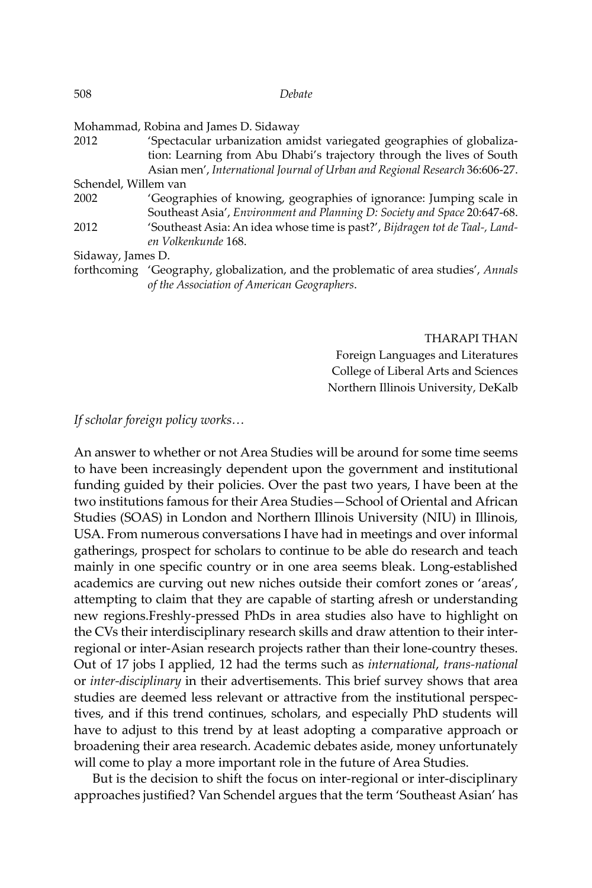| 508                  | Debate                                                                                                                                                                                                                        |
|----------------------|-------------------------------------------------------------------------------------------------------------------------------------------------------------------------------------------------------------------------------|
|                      | Mohammad, Robina and James D. Sidaway                                                                                                                                                                                         |
| 2012                 | 'Spectacular urbanization amidst variegated geographies of globaliza-<br>tion: Learning from Abu Dhabi's trajectory through the lives of South<br>Asian men', International Journal of Urban and Regional Research 36:606-27. |
| Schendel, Willem van |                                                                                                                                                                                                                               |
| 2002                 | 'Geographies of knowing, geographies of ignorance: Jumping scale in<br>Southeast Asia', Environment and Planning D: Society and Space 20:647-68.                                                                              |
| 2012                 | 'Southeast Asia: An idea whose time is past?', Bijdragen tot de Taal-, Land-<br>en Volkenkunde 168.                                                                                                                           |
| Sidaway, James D.    |                                                                                                                                                                                                                               |
|                      | forthcoming 'Geography, globalization, and the problematic of area studies', Annals                                                                                                                                           |
|                      |                                                                                                                                                                                                                               |

*of the Association of American Geographers*.

THARAPI THAN Foreign Languages and Literatures College of Liberal Arts and Sciences Northern Illinois University, DeKalb

#### *If scholar foreign policy works…*

An answer to whether or not Area Studies will be around for some time seems to have been increasingly dependent upon the government and institutional funding guided by their policies. Over the past two years, I have been at the two institutions famous for their Area Studies—School of Oriental and African Studies (SOAS) in London and Northern Illinois University (NIU) in Illinois, USA. From numerous conversations I have had in meetings and over informal gatherings, prospect for scholars to continue to be able do research and teach mainly in one specific country or in one area seems bleak. Long-established academics are curving out new niches outside their comfort zones or 'areas', attempting to claim that they are capable of starting afresh or understanding new regions.Freshly-pressed PhDs in area studies also have to highlight on the CVs their interdisciplinary research skills and draw attention to their interregional or inter-Asian research projects rather than their lone-country theses. Out of 17 jobs I applied, 12 had the terms such as *international*, *trans-national* or *inter-disciplinary* in their advertisements. This brief survey shows that area studies are deemed less relevant or attractive from the institutional perspectives, and if this trend continues, scholars, and especially PhD students will have to adjust to this trend by at least adopting a comparative approach or broadening their area research. Academic debates aside, money unfortunately will come to play a more important role in the future of Area Studies.

But is the decision to shift the focus on inter-regional or inter-disciplinary approaches justified? Van Schendel argues that the term 'Southeast Asian' has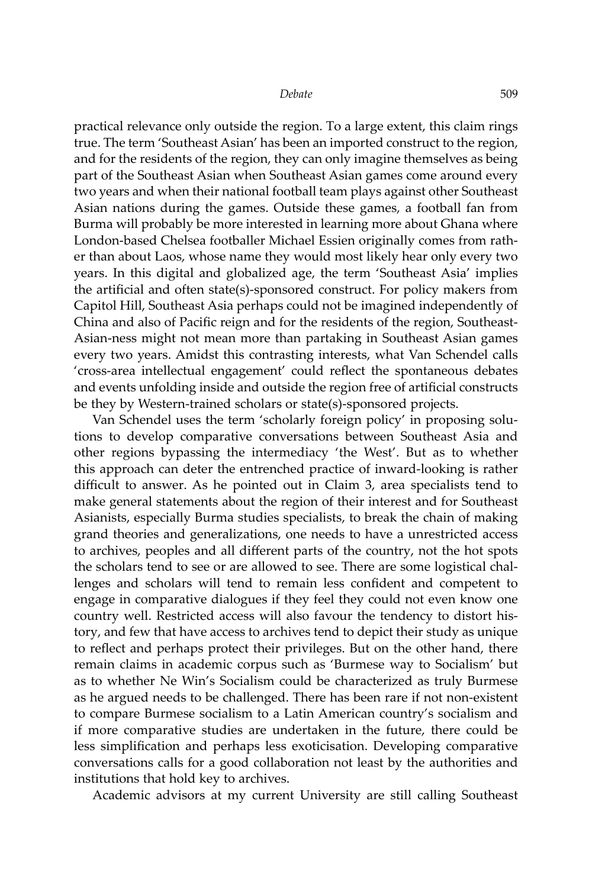practical relevance only outside the region. To a large extent, this claim rings true. The term 'Southeast Asian' has been an imported construct to the region, and for the residents of the region, they can only imagine themselves as being part of the Southeast Asian when Southeast Asian games come around every two years and when their national football team plays against other Southeast Asian nations during the games. Outside these games, a football fan from Burma will probably be more interested in learning more about Ghana where London-based Chelsea footballer Michael Essien originally comes from rather than about Laos, whose name they would most likely hear only every two years. In this digital and globalized age, the term 'Southeast Asia' implies the artificial and often state(s)-sponsored construct. For policy makers from Capitol Hill, Southeast Asia perhaps could not be imagined independently of China and also of Pacific reign and for the residents of the region, Southeast-Asian-ness might not mean more than partaking in Southeast Asian games every two years. Amidst this contrasting interests, what Van Schendel calls 'cross-area intellectual engagement' could reflect the spontaneous debates and events unfolding inside and outside the region free of artificial constructs be they by Western-trained scholars or state(s)-sponsored projects.

Van Schendel uses the term 'scholarly foreign policy' in proposing solutions to develop comparative conversations between Southeast Asia and other regions bypassing the intermediacy 'the West'. But as to whether this approach can deter the entrenched practice of inward-looking is rather difficult to answer. As he pointed out in Claim 3, area specialists tend to make general statements about the region of their interest and for Southeast Asianists, especially Burma studies specialists, to break the chain of making grand theories and generalizations, one needs to have a unrestricted access to archives, peoples and all different parts of the country, not the hot spots the scholars tend to see or are allowed to see. There are some logistical challenges and scholars will tend to remain less confident and competent to engage in comparative dialogues if they feel they could not even know one country well. Restricted access will also favour the tendency to distort history, and few that have access to archives tend to depict their study as unique to reflect and perhaps protect their privileges. But on the other hand, there remain claims in academic corpus such as 'Burmese way to Socialism' but as to whether Ne Win's Socialism could be characterized as truly Burmese as he argued needs to be challenged. There has been rare if not non-existent to compare Burmese socialism to a Latin American country's socialism and if more comparative studies are undertaken in the future, there could be less simplification and perhaps less exoticisation. Developing comparative conversations calls for a good collaboration not least by the authorities and institutions that hold key to archives.

Academic advisors at my current University are still calling Southeast